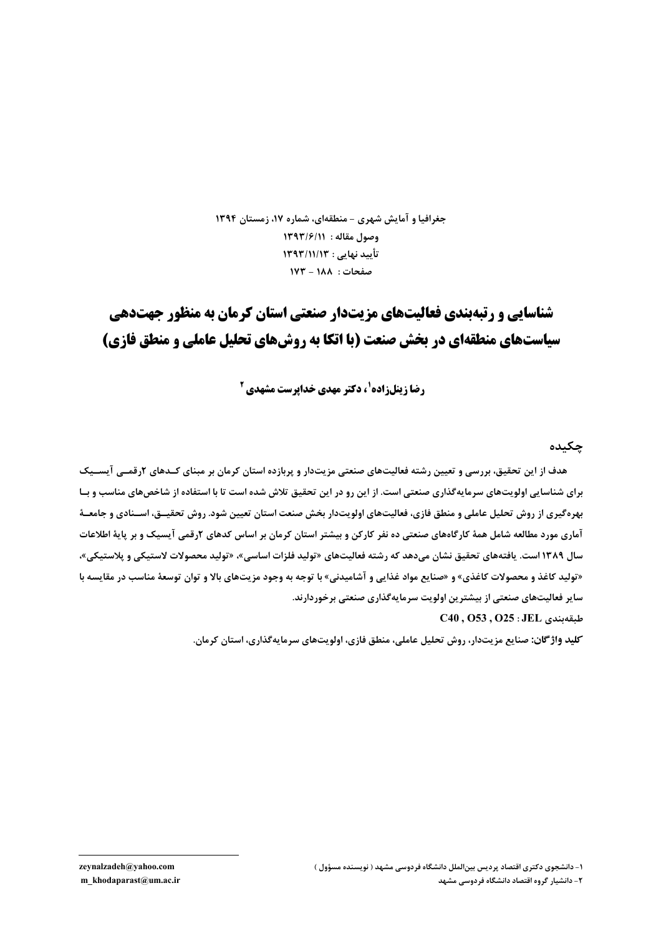جغرافیا و آمایش شهری - منطقهای، شماره ۱۷، زمستان ۱۳۹۴ وصول مقاله : ١٣٩٣/١١ تأييد نهايي : ١٣٩٣/١١/١٣ صفحات: ١٨٨ - ١٧٣

# شناسایی و رتبهیندی فعالیتهای مزیت:دار صنعتی استان کرمان به منظور حهتدهی سیاستهای منطقهای در بخش صنعت (با اتکا به روشهای تحلیل عاملی و منطق فازی)

**رضا زینلزاده<sup>1</sup>، دکتر مهدی خداپرست مشهدی <sup>2</sup>** 

چکىدە

هدف از این تحقیق، بررسی و تعیین رشته فعالیتهای صنعتی مزیتدار و پربازده استان کرمان بر مبنای کـدهای ۲رقمـی آیســیک برای شناسایی اولویتهای سرمایهگذاری صنعتی است. از این رو در این تحقیق تلاش شده است تا با استفاده از شاخصهای مناسب و بـا بهرهگیری از روش تحلیل عاملی و منطق فازی، فعالیتهای اولویتدار بخش صنعت استان تعیین شود. روش تحقیــق، اســنادی و جامعــۀ آماری مورد مطالعه شامل همهٔ کارگاههای صنعتی ده نفر کارکن و بیشتر استان کرمان بر اساس کدهای ۲رقمی آیسیک و بر پایهٔ اطلاعات سال ١٣٨٩است. يافتههاي تحقيق نشان مي<هد كه رشته فعاليتهاي «توليد فلزات اساسي»، «توليد محصولات لاستيكي و يلاستيكي»، «تولید کاغذ و محصولات کاغذی» و «صنایع مواد غذایی و آشامیدنی» با توجه به وجود مزیتهای بالا و توان توسعهٔ مناسب در مقایسه با سایر فعالیتهای صنعتی از بیشترین اولویت سرمایهگذاری صنعتی برخوردارند.

 $C40, O53, O25: JEL$ طىقەيندى

کلید واژ گان: صنایع مزیتدار، روش تحلیل عاملی، منطق فازی، اولویتهای سرمایهگذاری، استان کرمان.

zeynalzadeh@yahoo.com

m khodaparast@um.ac.ir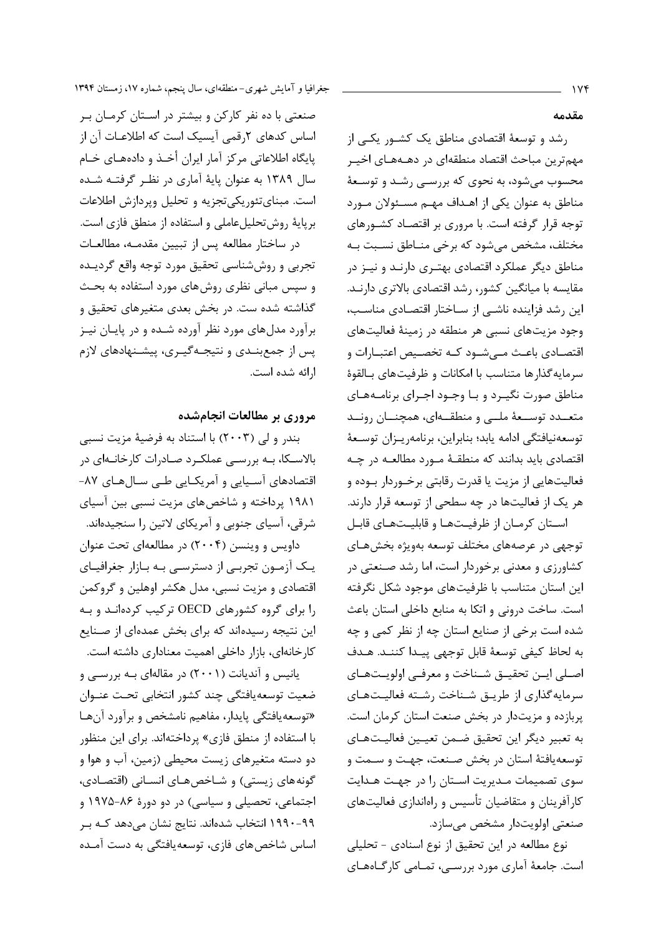صنعتی با ده نفر کارکن و بیشتر در استان کرمان بر اساس کدهای ۲رقمی آیسیک است که اطلاعـات آن از پایگاه اطلاعاتی مرکز آمار ایران أخـذ و دادههـای خـام سال ۱۳۸۹ به عنوان پایهٔ آماری در نظـر گرفتــه شــده است. مبنای تئوریکی تجزیه و تحلیل ویردازش اطلاعات برپایهٔ روشتحلیل عاملی و استفاده از منطق فازی است.

در ساختار مطالعه پس از تبیین مقدمـه، مطالعـات تجربي و روششناسي تحقيق مورد توجه واقع گرديىده و سپس مبانی نظری روشهای مورد استفاده به بحث گذاشته شده ست. در بخش بعدی متغیرهای تحقیق و برآورد مدلهای مورد نظر آورده شـده و در پایـان نیـز پس از جمع بنـدي و نتيجـه گيـري، پيشـنهادهاي لازم ا, ائه شده است.

# مروری بر مطالعات انجامشده

بندر و لي (٢٠٠٣) با استناد به فرضيهٔ مزيت نسبي بالاسکا، بـه بررسـی عملکـرد صـادرات کارخانـهای در اقتصادهای آسـیایی و آمریکـایی طـی سـالهـای ۸۷-۱۹۸۱ پرداخته و شاخصهای مزیت نسبی بین آسیای شرقی، آسیای جنوبی و آمریکای لاتین را سنجیدهاند.

داویس و وینسن (۲۰۰۴) در مطالعهای تحت عنوان یک آزمون تجربی از دسترسی بـه بـازار جغرافیـای اقتصادی و مزیت نسبی، مدل هکشر اوهلین و گروکمن را برای گروه کشورهای OECD ترکیب کردهانـد و بـه این نتیجه رسیدهاند که برای بخش عمدهای از صـنایع کارخانهای، بازار داخلی اهمیت معناداری داشته است.

یانیس و آندیانت (۲۰۰۱) در مقالهای بـه بررسـی و ضعيت توسعه يافتگى چند كشور انتخابى تحت عنـوان «توسعه یافتگی پایدار، مفاهیم نامشخص و برآورد آنها با استفاده از منطق فازی» پرداختهاند. برای این منظور دو دسته متغیرهای زیست محیطی (زمین، آب و هوا و گونههای زیستی) و شـاخصهـای انسـانی (اقتصـادی، اجتماعی، تحصیلی و سیاسی) در دو دورهٔ ۸۶-۱۹۷۵ و ۹۹-۱۹۹۰ انتخاب شدهاند. نتایج نشان میدهد کـه بـر اساس شاخص های فازی، توسعه یافتگی به دست آمـده مقدمه

رشد و توسعهٔ اقتصادی مناطق یک کشور یکبی از مهم ترین مباحث اقتصاد منطقهای در دهـههـای اخیــر محسوب می شود، به نحوی که بررسـی رشـد و توسـعهٔ مناطق به عنوان یکی از اهـداف مهـم مسـئولان مـورد توجه قرار گرفته است. با مروری بر اقتصـاد کشـورهای مختلف، مشخص میشود که برخی منـاطق نسـبت بـه مناطق دیگر عملکرد اقتصادی بهتـری دارنـد و نیـز در مقایسه با میانگین کشور، رشد اقتصادی بالاتری دارنـد. این رشد فزاینده ناشــی از ســاختار اقتصــادی مناسـب، وجود مزیتهای نسبی هر منطقه در زمینهٔ فعالیتهای اقتصـادی باعـث مــی شــود کــه تخصــیص اعتبــارات و سرمايه گذارها متناسب با امكانات و ظرفيتهاى بـالقوهٔ مناطق صورت نگیـرد و بـا وجـود اجـرای برنامـههـای متعــدد توســعهٔ ملــی و منطقــهای، همچنــان رونــد توسعهنيافتگي ادامه يابد؛ بنابراين، برنامهريـزان توسـعهٔ اقتصادی باید بدانند که منطقـهٔ مــورد مطالعــه در چــه فعالیتهایی از مزیت یا قدرت رقابتی برخــوردار بــوده و هر یک از فعالیتها در چه سطحی از توسعه قرار دارند. استان کرمان از ظرفیتها و قابلیتهای قابل

توجهي در عرصههاي مختلف توسعه بهويژه بخش هـاي کشاورزی و معدنی برخوردار است، اما رشد صنعتی در این استان متناسب با ظرفیتهای موجود شکل نگرفته است. ساخت درونی و اتکا به منابع داخلی استان باعث شده است برخی از صنایع استان چه از نظر کمی و چه به لحاظ كيفي توسعة قابل توجهي ييـدا كننـد. هـدف اصـلي ايـن تحقيـق شـناخت و معرفـي اولويـتهـاي سرمایه گذاری از طریـق شـناخت رشـته فعالیـتهـای پربازده و مزیتدار در بخش صنعت استان کرمان است. به تعبير ديگر اين تحقيق ضـمن تعيــين فعاليـتهـاي توسعه یافتهٔ استان در بخش صنعت، جهت و ســمت و سوی تصمیمات مـدیریت اسـتان را در جهـت هـدایت کارآفرینان و متقاضیان تأسیس و راهاندازی فعالیتهای صنعتي اولويتدار مشخص ميسازد.

نوع مطالعه در این تحقیق از نوع اسنادی - تحلیلی است. جامعهٔ آماری مورد بررسـی، تمـامی کارگـاههـای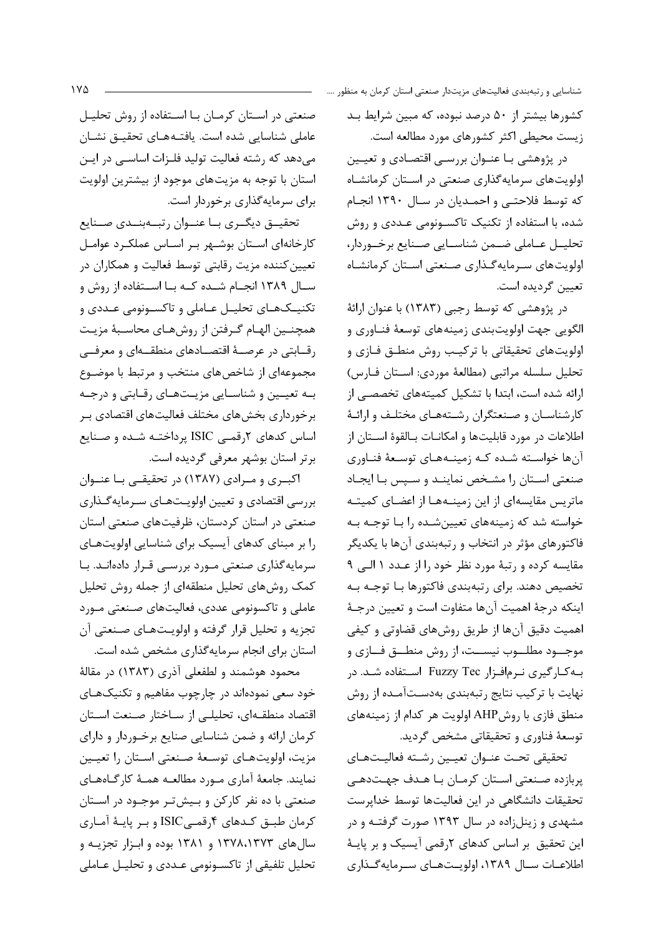کشورها بیشتر از ۵۰ درصد نبوده، که مبین شرایط بـد زیست محیطی اکثر کشورهای مورد مطالعه است.

در پژوهشی بـا عنـوان بررسـی اقتصـادی و تعیـین اولویتهای سرمایهگذاری صنعتی در استان کرمانشاه که توسط فلاحتے و احمـدیان در سـال ۱۳۹۰ انجـام شده، با استفاده از تکنیک تاکسـونومی عـددی و روش تحليــل عــاملي ضــمن شناســايي صــنايع برخــوردار، اولویتهای سرمایهگذاری صنعتی استان کرمانشاه تعيين گرديده است.

در پژوهشی که توسط رجبی (۱۳۸۳) با عنوان ارائهٔ الگویی جهت اولویتبندی زمینههای توسعهٔ فنـاوری و اولويتهاي تحقيقاتي با تركيب روش منطـق فـازي و تحليل سلسله مراتبي (مطالعهٔ موردي: استان فـارس) ارائه شده است، ابتدا با تشكيل كميتههاى تخصصى از کارشناسان و صنعتگران رشتههای مختلف و ارائـهٔ اطلاعات در مورد قابلیتها و امکانـات بـالقوهٔ اسـتان از آنها خواسته شده که زمینههای توسعهٔ فناوری صنعتی استان را مشخص نماینـد و سـیس بـا ایجـاد ماتریس مقایسهای از این زمینـههـا از اعضـای کمیتـه خواسته شد که زمینههای تعیینشـده را بـا توجـه بـه .<br>فاکتورهای مؤثر در انتخاب و رتبهبندی آنها با یکدیگر مقايسه كرده و رتبهٔ مورد نظر خود را از عـدد ١ الـي ٩ تخصیص دهند. برای رتبهبندی فاکتورها بـا توجـه بـه اینکه درجهٔ اهمیت آنها متفاوت است و تعیین درجـهٔ اهمیت دقیق آنها از طریق روشهای قضاوتی و کیفی موجـــود مطلـــوب نيســـت، از روش منطـــق فـــازى و به کارگیری نـرمافـزار Fuzzy Tec اسـتفاده شـد. در نهایت با ترکیب نتایج رتبهبندی بهدسـتآمـده از روش منطق فازی با روشAHP اولویت هر کدام از زمینههای توسعهٔ فناوری و تحقیقاتی مشخص گردید.

تحقيقي تحت عنـوان تعيـين رشـته فعاليـتهـاي پربازده صنعتی استان کرمان با هـدف جهـتدهـی تحقیقات دانشگاهی در این فعالیتها توسط خداپرست مشهدی و زینلزاده در سال ۱۳۹۳ صورت گرفتـه و در این تحقیق بر اساس کدهای ۲رقمی آیسیک و بر پایـهٔ اطلاعـات سـال ١٣٨٩، اولويـتهـاي سـرمايهگـذاري

صنعتی در اسـتان کرمـان بـا اسـتفاده از روش تحليـل عاملی شناسایی شده است. یافتـههـای تحقیـق نشـان می دهد که رشته فعالیت تولید فلـزات اساســی در ایــن استان با توجه به مزیتهای موجود از بیشترین اولویت برای سرمایهگذاری برخوردار است.

تحقیــق دیگــري بــا عنــوان رتبــهبنــدي صــنايع کارخانهای استان بوشـهر بـر اسـاس عملکـرد عوامـل .<br>تعیین *ک*ننده مزیت رقابتی توسط فعالیت و همکاران در ســال ۱۳۸۹ انجــام شــده كــه بــا اســتفاده از روش و تکنيــکـهــاى تحليــل عــاملى و تاکســونومى عــددى و همچنـين الهـام گـرفتن از روشهـاي محاسـبهٔ مزيـت رقــابتي در عرصــهٔ اقتصــادهاي منطقــهاي و معرفــي مجموعهای از شاخص های منتخب و مرتبط با موضـوع به تعیین و شناسایی مزیـتهـای رقـابتی و درجـه برخورداری بخشهای مختلف فعالیتهای اقتصادی بـر اساس کدهای ۲رقمی ISIC پرداختـه شـده و صـنايع برتر استان بوشهر معرفی گردیده است.

اکبوی و میرادی (۱۳۸۷) در تحقیقی با عنبوان بررسی اقتصادی و تعیین اولویتهای سرمایهگذاری صنعتی در استان کردستان، ظرفیتهای صنعتی استان را بر مبنای کدهای آیسیک برای شناسایی اولویتهای سرمایه گذاری صنعتی مورد بررسی قـرار دادهانـد. بـا کمک روشهای تحلیل منطقهای از جمله روش تحلیل عاملي و تاكسونومي عددي، فعاليتهاي صنعتي مورد تجزيه و تحليل قرار گرفته و اولويتهاي صنعتي آن استان برای انجام سرمایهگذاری مشخص شده است.

محمود هوشمند و لطفعلی آذری (۱۳۸۳) در مقالهٔ خود سعی نمودهاند در چارچوب مفاهیم و تکنیکهـای اقتصاد منطقـهاى، تحليلـى از سـاختار صـنعت اسـتان كرمان ارائه و ضمن شناسايي صنايع برخوردار و داراي مزيت، اولويتهـاي توسـعة صـنعتي اسـتان را تعيـين نمایند. جامعهٔ آماری مـورد مطالعـه همـهٔ کارگـاههـای صنعتی با ده نفر کارکن و بـیشتر موجـود در اسـتان کرمان طبـق کـدهای ۴رقمـی/ISIC و بـر پایـهٔ آمـاری سال های ۱۳۷۸،۱۳۷۳ و ۱۳۸۱ بوده و ابزار تجزیـه و تحليل تلفيقي از تاكسـونومي عـددي و تحليـل عـاملي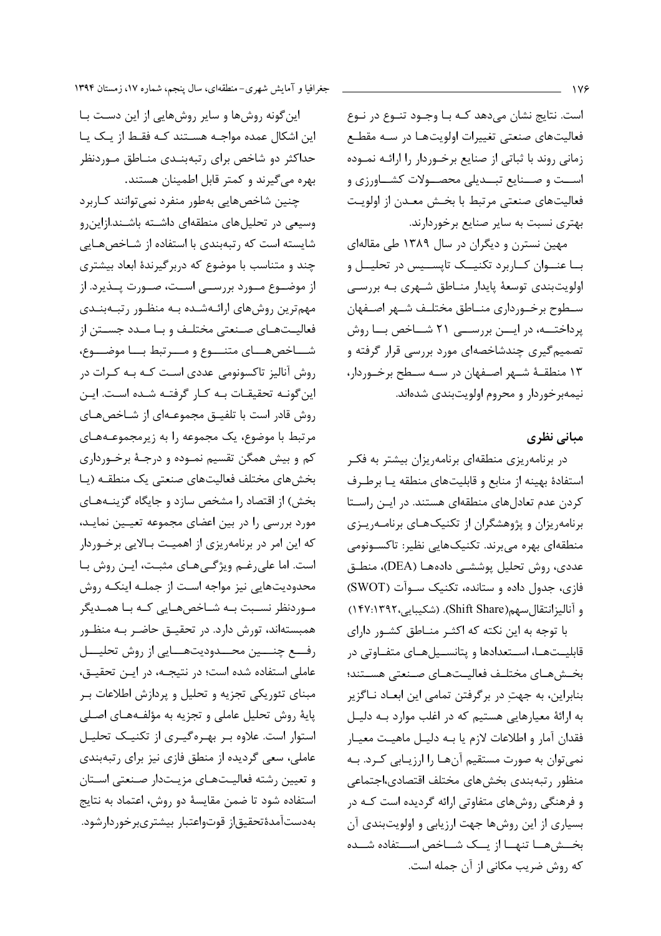است. نتایج نشان می دهد کـه بـا وجـود تنـوع در نـوع فعالیتهای صنعتی تغییرات اولویتهـا در سـه مقطـع زمانی روند با ثباتی از صنایع برخوردار را ارائـه نمـوده اســت و صــنايع تبــديلي محصــولات كشــاورزى و فعالیتهای صنعتی مرتبط با بخش معـدن از اولویـت بهتری نسبت به سایر صنایع برخوردارند.

مهین نسترن و دیگران در سال ۱۳۸۹ طی مقالهای بــا عنــوان كــاربرد تكنيــك تايســيس در تحليــل و اولویتبندی توسعهٔ پایدار منـاطق شـهری بـه بررسـی سطوح برخـورداري منــاطق مختلـف شــهر اصــفهان پرداختــه، در ايــن بررســي ٢١ شــاخص بــا روش تصمیم گیری چندشاخصهای مورد بررسی قرار گرفته و ١٣ منطقــهٔ شــهر اصــفهان در ســه ســطح برخــوردار، نیمهبرخوردار و محروم اولویتبندی شدهاند.

# مبانی نظری

در برنامهریزی منطقهای برنامهریزان بیشتر به فک استفادهٔ بهینه از منابع و قابلیتهای منطقه یـا برطـرف کردن عدم تعادلهای منطقهای هستند. در ایـن راسـتا برنامهریزان و پژوهشگران از تکنیکهای برنامهریـزی منطقهای بهره می برند. تکنیکهایی نظیر: تاکسـونومی عددی، روش تحلیل پوششـی دادههــا (DEA)، منطــق فازی، جدول داده و ستانده، تکنیک سوآت (SWOT) و آنالیزانتقال سهم(Shift Share). (شکیبایی،۱۴۷:۱۳۹۲)

با توجه به این نکته که اکثـر منـاطق کشـور دارای قابلیـتهـا، اسـتعدادها و یتانسـیلهـای متفـاوتی در بخشهاى مختلىف فعاليتهاى صنعتى هستند؛ بنابراین، به جهت در برگرفتن تمامی این ابعـاد نـاگزیر به ارائهٔ معیارهایی هستیم که در اغلب موارد بـه دلیـل فقدان آمار و اطلاعات لازم یا بـه دلیـل ماهیـت معیـار نمی توان به صورت مستقیم آنها را ارزیابی کرد. بـه منظور رتبهبندي بخشهاى مختلف اقتصادى،اجتماعى و فرهنگی روشهای متفاوتی ارائه گردیده است کـه در بسیاری از این روشها جهت ارزیابی و اولویتبندی آن بخــش هــا تنهــا از يــك شـــاخص اســـتفاده شـــده كه روش ضريب مكاني از آن جمله است.

این گونه روشها و سایر روشهایی از این دست با این اشکال عمده مواجـه هسـتند کـه فقـط از یـک یـا حداکثر دو شاخص برای رتبهبنـدی منـاطق مـوردنظر بهره میگیرند و کمتر قابل اطمینان هستند.

چنین شاخصهایی بهطور منفرد نمیتوانند کـاربرد وسیعی در تحلیلهای منطقهای داشته باشـند.ازاین رو شایسته است که رتبهبندی با استفاده از شـاخصهـایی چند و متناسب با موضوع که دربر گیرندهٔ ابعاد بیشتری از موضــوع مــورد بررســی اســت، صــورت پــذیرد. از مهمترین روشهای ارائـهشـده بـه منظـور رتبـهبنـدی فعالیــتهــای صــنعتی مختلــف و بــا مــدد جســتن از شساخصهسای متنسوع و مسرتبط بسا موضسوع، روش آنالیز تاکسونومی عددی است کـه بـه کـرات در این گونـه تحقیقـات بـه كـار گرفتـه شـده اسـت. ایـن روش قادر است با تلفیــق مجموعــهای از شــاخصهــای مرتبط با موضوع، یک مجموعه را به زیرمجموعـههـای کم و بیش همگن تقسیم نمـوده و درجـهٔ برخـورداری بخشهای مختلف فعالیتهای صنعتی یک منطقـه (پـا بخش) از اقتصاد را مشخص سازد و جایگاه گزینــههـای مورد بررسی را در بین اعضای مجموعه تعیـین نمایـد، که این امر در برنامهریزی از اهمیت بـالایی برخـوردار است. اما علي رغم ويژگي هـاي مثبـت، ايـن روش بـا محدودیتهایی نیز مواجه است از جملـه اینکـه روش مـوردنظر نسـبت بـه شـاخصهـايي كـه بـا همـديگر همبستهاند، تورش دارد. در تحقیـق حاضـر بـه منظـور رفــع چنـــين محــدوديتهـــايي از روش تحليـــل عاملی استفاده شده است؛ در نتیجه، در ایـن تحقیـق، مبنای تئوریکی تجزیه و تحلیل و پردازش اطلاعات ب پايهٔ روش تحليل عاملي و تجزيه به مؤلفـههـاي اصـلي استوار است. علاوه بر بهرهگیری از تکنیک تحلیل عاملی، سعی گردیده از منطق فازی نیز برای رتبهبندی و تعيين رشته فعاليتهاى مزيتدار صنعتى استان استفاده شود تا ضمن مقايسهٔ دو روش، اعتماد به نتايج بەدستآمدةتحقيق|ز قوتواعتبار بيشترىبرخوردارشود.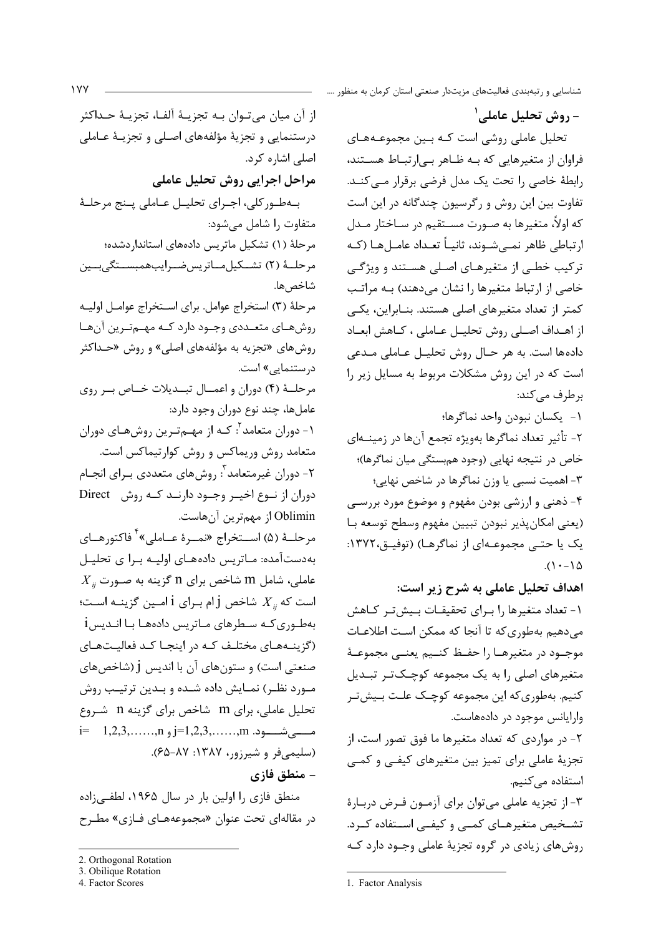- روش تحليل عاملي' تحلیل عاملی روشی است کـه بـین مجموعـههـای فراوان از متغیرهایی که بـه ظـاهر بـی|رتبـاط هسـتند، رابطهٔ خاصی را تحت یک مدل فرضی برقرار مے کنــد. تفاوت بین این روش و رگرسیون چندگانه در این است که اولاً، متغیرها به صـورت مسـتقیم در سـاختار مـدل ارتباطي ظاهر نمے شـوند، ثانيــاً تعـداد عامــلهــا (كــه ترکیب خطی از متغیرهـای اصـلی هسـتند و ویژگـی خاصی از ارتباط متغیرها را نشان می دهند) بـه مراتـب کمتر از تعداد متغیرهای اصلی هستند. بنـابراین، یکـی از اهـداف اصـلي روش تحليـل عـاملي ، كـاهش ابعـاد دادهها است. به هر حـال روش تحليـل عـاملي مـدعى است که در این روش مشکلات مربوط به مسایل زیر را برطرف مے کند:

١- يكسان نبودن واحد نماگرها؛ ٢- تأثير تعداد نماگرها بهويژه تجمع آنها در زمينــهاي خاص در نتیجه نهایی (وجود هم بستگی میان نماگرها)؛ ۳- اهمیت نسبی یا وزن نماگرها در شاخص نهایی؛ ۴- ذهنی و ارزشی بودن مفهوم و موضوع مورد بررسـی (يعني امكان يذير نبودن تبيين مفهوم وسطح توسعه با یک یا حتے مجموعـهای از نماگرهـا) (توفیـق،۱۳۷۲:  $(1 - \Delta)$ 

اهداف تحلیل عاملی به شرح زیر است: ١- تعداد متغيرها را براي تحقيقـات بـيشتر كـاهش می دهیم بهطوری که تا آنجا که ممکن است اطلاعـات موجــود در متغيرهــا را حفــظ كنــيم يعنــى مجموعــهٔ متغیرهای اصلی را به یک مجموعه کوچـکتـر تبـدیل کنیم. بهطوریکه این مجموعه کوچک علت بـیشتـر وارایانس موجود در دادههاست.

۲- در مواردی که تعداد متغیرها ما فوق تصور است، از تجزیهٔ عاملی برای تمیز بین متغیرهای کیفی و کمبی استفاده می کنیم.

٣- از تجزيه عاملي مي توان براي آزمون فـرض دربـارهٔ تشخیص متغیرهـای کمـی و کیفـی اسـتفاده کـرد. روشهای زیادی در گروه تجزیهٔ عاملی وجـود دارد کـه

از آن ميان مي تــوان بــه تجزيــهٔ آلفــا، تجزيــهٔ حــداكثر درستنمایی و تجزیهٔ مؤلفههای اصـلی و تجزیـهٔ عـاملی اصلی اشاره کرد. مراحل اجرايي روش تحليل عاملي بهطور كلي، اجـراي تحليـل عـاملي پـنج مرحلـهٔ متفاوت را شامل می شود: مرحلهٔ (۱) تشکیل ماتریس دادههای استانداردشده؛ مرحلــهٔ (۲) تشــکیلمــاتریسضــرایبهمبســتگىبــین شاخص ها. مرحلهٔ (۳) استخراج عوامل. براي استخراج عوامـل اوليـه روشهای متعـددی وجـود دارد کـه مهـمتـرین آنهـا روشهای «تجزیه به مؤلفههای اصلی» و روش «حـداکثر درستنمایی» است. مرحلهٔ (۴) دوران و اعمــال تبــدیلات خــاص بــر روی عاملها، چند نوع دوران وجود دارد: ۱- دوران متعامد<sup>۲</sup>: کـه از مهـمتـرین روشهـای دوران متعامد روش وريماكس و روش كوارتيماكس است. ٢- دوران غيرمتعامد ؒ: روشهاي متعددي بـراي انجــام دوران از نوع اخیـر وجـود دارنـد کـه روش Direct Oblimin از مهمترین آنهاست. مرحلــهٔ (۵) اســتخراج «نمــرهٔ عــاملي»<sup>۴</sup> فاكتورهــاي بهدستآمده: مـاتریس دادههـای اولیـه بـرا ی تحلیـل  $X_{ij}$  عاملی، شامل m شاخص برای n گزینه به صـورت است که  $X_{ii}$  شاخص j ام بـرای j امـین گزینــه اسـت؛ بهطـوري كــه ســطرهاي مــاتريس دادههــا بــا انــديسi (گزینـههـای مختلـف کـه در اینجـا کـد فعالیـتهـای صنعتی است) و ستونهای آن با اندیس j (شاخصهای مـورد نظـر) نمـايش داده شـده و بـدين ترتيـب روش تحلیل عاملی، برای m شاخص برای گزینه n شـروع (سليمې فر و شيرزور، ١٣٨٧: ٨٧-۶۵). – منطق فازي

منطق فازی را اولین بار در سال ۱۹۶۵، لطفی;اده در مقالهای تحت عنوان «مجموعههـای فــازی» مطـرح

3. Obilique Rotation

<sup>1.</sup> Factor Analysis

<sup>2.</sup> Orthogonal Rotation

<sup>4.</sup> Factor Scores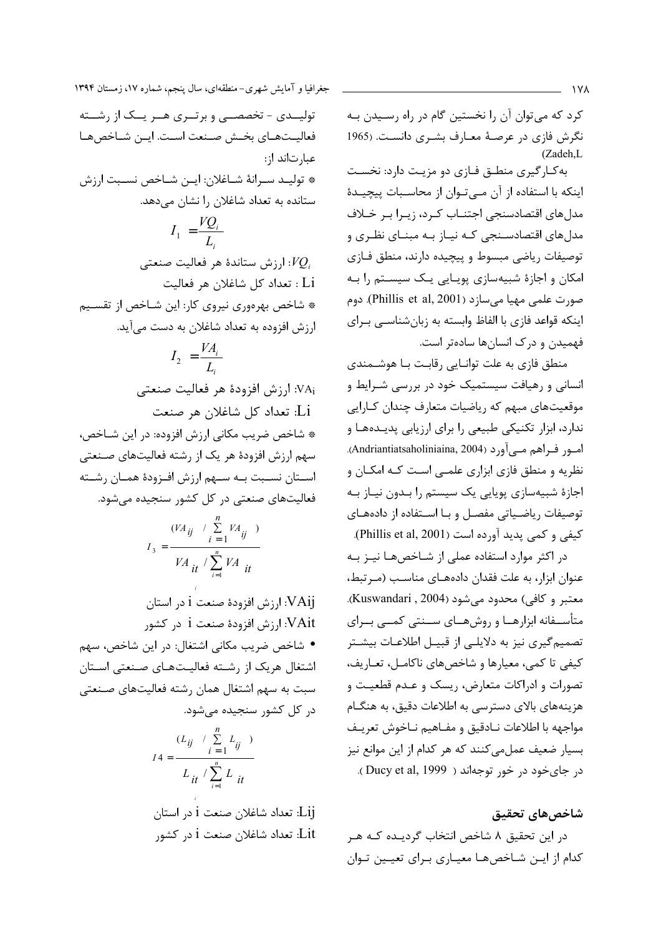كرد كه مي توان آن را نخستين گام در راه رسـيدن بـه نگرش فازی در عرصهٔ معـارف بشـری دانسـت. (1965  $(Zadeh.L)$ 

به کارگیری منطـق فـازی دو مزیـت دارد: نخسـت اینکه با استفاده از آن مے توان از محاسـبات پیچیـدهٔ مدلهای اقتصادسنجی اجتنـاب کـرد، زيـرا بـر خـلاف مدلهای اقتصادسـنجی کـه نیـاز بـه مبنـای نظـری و توصيفات رياضي مبسوط و پيچيده دارند، منطق فـازى امکان و اجازهٔ شبیهسازی پویـایی یـک سیسـتم را بـه صورت علمي مهيا ميسازد (Phillis et al, 2001). دوم اینکه قواعد فازی با الفاظ وابسته به زبانشناسـی بـرای فهمیدن و درک انسانها سادهتر است.

منطق فازی به علت توانـایی رقابـت بـا هوشـمندی انسانی و رهیافت سیستمیک خود در بررسی شـرایط و موقعیتهای مبهم که ریاضیات متعارف چندان کـارایی ندارد، ابزار تکنیکی طبیعی را برای ارزیابی پدیدهها و امور فـراهم مـيآورد (Andriantiatsaholiniaina, 2004). نظریه و منطق فازی ابزاری علمـی اسـت کـه امکـان و اجازهٔ شبیهسازی پویایی یک سیستم را بدون نیاز به توصيفات رياضياتي مفصل وبا استفاده از دادههاى كيفي و كمي پديد آورده است (Phillis et al, 2001).

در اکثر موارد استفاده عملی از شـاخصهـا نيـز بـه عنوان ابزار، به علت فقدان دادههـای مناسـب (مـرتبط، معتبر و كافي) محدود مي شود (Kuswandari , 2004). متأســفانه ابزارهــا و روشهــاي ســنتي كمــي بــراي تصمیم گیری نیز به دلایلے از قبیـل اطلاعـات بیشـتر کیفی تا کمی، معیارها و شاخصهای ناکامـل، تعـاریف، تصورات و ادراکات متعارض، ریسک و عـدم قطعیـت و هزینههای بالای دسترسی به اطلاعات دقیق، به هنگـام مواجهه با اطلاعات نـادقيق و مفـاهيم نـاخوش تعريـف بسیار ضعیف عمل می کنند که هر کدام از این موانع نیز در جای خود در خور توجهاند ( Ducy et al, 1999).

## شاخصهاي تحقيق

در این تحقیق ۸ شاخص انتخاب گردیـده کـه هـر كدام از ايـن شـاخصهـا معيـاري بـراي تعيـين تـوان

جغرافیا و آمایش شهری-منطقهای، سال پنجم، شماره ۱۷، زمستان ۱۳۹۴

تولیــدی - تخصصــی و برتــری هــر یــک از رشــته فعاليـتهـاى بخـش صـنعت اسـت. ايـن شـاخصهـا عبار تاند از: \* توليـد سـرانهٔ شـاغلان: ايـن شـاخص نسـبت ارزش ستانده به تعداد شاغلان را نشان می دهد.  $I_1 = \frac{VQ_i}{I}$ ارزش ستاندهٔ هر فعالیت صنعتی: $VQ_i$ : Li تعداد كل شاغلان هر فعاليت \* شاخص بهرهوري نيروي كار: اين شـاخص از تقسـيم ارزش افزوده به تعداد شاغلان به دست میآید.  $I_2 = \frac{VA_i}{L}$ VAi: ارزش افزودهٔ هر فعالیت صنعتی Li: تعداد كل شاغلان هر صنعت \* شاخص ضريب مكاني ارزش افزوده: در اين شـاخص، سهم ارزش افزودهٔ هر یک از رشته فعالیتهای صـنعتی اسـتان نسـبت بـه سـهم ارزش افـزودهٔ همـان رشـته

فعالیتهای صنعتی در کل کشور سنجیده میشود.

$$
I_3 = \frac{(VA_{ij} \quad / \sum_{i=1} VA_{ij})}{VA_{it} / \sum_{i=1}^{n} VA_{it}}
$$

VAij: ارزش افزودهٔ صنعت i در استان VAit: ارزش افزودهٔ صنعت i در کشور • شاخص ضريب مكاني اشتغال: در اين شاخص، سهم اشتغال هریک از رشته فعالیتهای صنعتی استان سبت به سهم اشتغال همان رشته فعالیتهای صنعتی در کل کشور سنجیده می شود.  $(L_n \neq \sum_{i=1}^{n} L_i)$ 

$$
I4 = \frac{L_{ij} - L_{ij}}{L_{it} / \sum_{i=1}^{n} L_{it}}
$$

Lij: تعداد شاغلان صنعت i در استان Lit: تعداد شاغلان صنعت i در کشور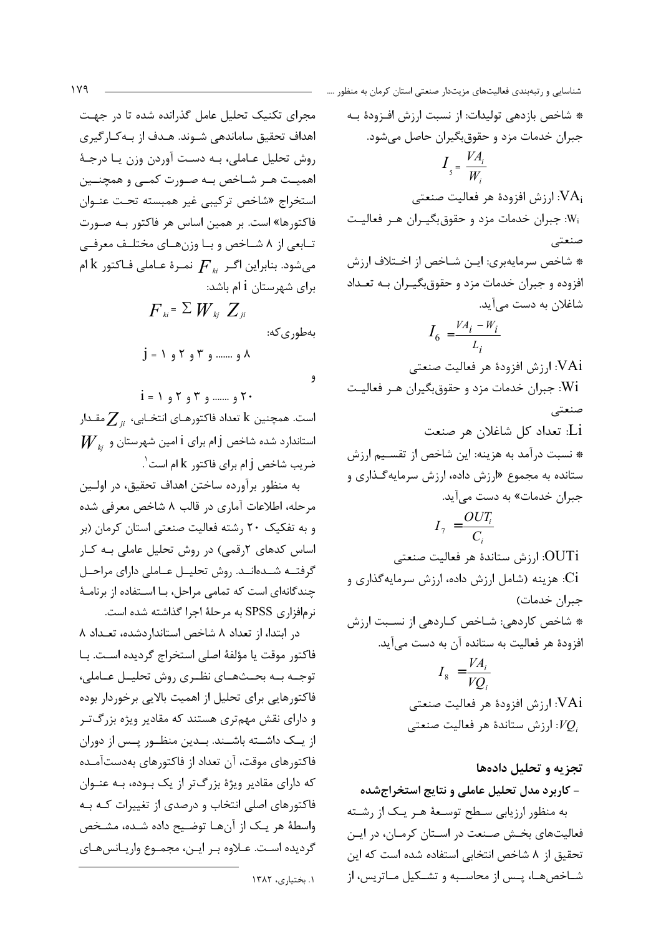مجرای تکنیک تحلیل عامل گذرانده شده تا در جهت اهداف تحقیق ساماندهی شـوند. هـدف از بـه كـارگیری روش تحليل عـاملي، بـه دسـت آوردن وزن يـا درجـهٔ اهميـت هـر شــاخص بــه صــورت كمــى و همچنــين استخراج «شاخص تركيبي غير همبسته تحت عنوان فاکتورها» است. بر همین اساس هر فاکتور بـه صـورت تـابعي از ٨ شــاخص و بــا وزنهــاي مختلــف معرفــي میشود. بنابراین اگـر  $\overline{F}_{\scriptscriptstyle{k}}$  نمـرهٔ عـاملی فـاکتور  $\rm{k}$ ام برای شهرستان 1 ام باشد:  $F_{ki} = \sum W_{ki} Z_{ii}$ بەطورى كە:  $j = 1, 3, 7, 8, ...$   $\lambda$ و  $i = 1, 1, 1, 1, 1, ...$  7 و ........

است. همچنین k تعداد فاکتورهـای انتخـابی،  $\sum_{ii}$ مقـدار  $\boldsymbol{W}_{\scriptscriptstyle ii}$  استاندارد شده شاخص j ام برای i امین شهرستان و ضريب شاخص j أم براي فاكتور k أم است $\dot{\phantom{a}}$ .

به منظور برآورده ساختن اهداف تحقیق، در اولـین مرحله، اطلاعات آماري در قالب ۸ شاخص معرفي شده و به تفکیک ۲۰ رشته فعالیت صنعتی استان کرمان (بر اساس کدهای ۲رقمی) در روش تحلیل عاملی بـه کـار گرفتــه شــدهانــد. روش تحليــل عــاملي داراي مراحــل چندگانهای است که تمامی مراحل، بـا اسـتفاده از برنامـهٔ نرمافزاری SPSS به مرحلهٔ اجرا گذاشته شده است.

در ابتدا، از تعداد ٨ شاخص استاندار دشده، تعداد ٨ فاكتور موقت يا مؤلفهٔ اصلى استخراج گرديده اسـت. بـا توجـه بــه بحــثهــاي نظــري روش تحليــل عــاملي، .<br>فاکتورهایی برای تحلیل از اهمیت بالایی برخوردار بوده و دارای نقش مهمتری هستند که مقادیر ویژه بزرگتر از یـک داشـته باشـند. بـدین منظـور پـس از دوران فاکتورهای موقت، آن تعداد از فاکتورهای بهدستآمـده که دارای مقادیر ویژهٔ بزرگتر از یک بوده، بـه عنـوان فاکتورهای اصلی انتخاب و درصدی از تغییرات کـه بـه واسطهٔ هر یک از آنها توضیح داده شده، مشخص گرديده است. عـلاوه بـر ايـن، مجمـوع واريـانسهـاى

\* شاخص بازدهی تولیدات: از نسبت ارزش افـزودهٔ بـه جبران خدمات مزد و حقوق بگیران حاصل میشود.  $I_{5} = \frac{VA_{i}}{W}$ ارزش افزودهٔ هر فعالیت صنعتی: $\mathrm{VA}_{\mathrm{i}}$ :W: جبران خدمات مزد و حقوق بگیران هر فعالیت صنعتے \* شاخص سرمايهبري: ايـن شـاخص از اخـتلاف ارزش افزوده و جبران خدمات مزد و حقوق بگیران بـه تعـداد شاغلان به دست می آید.  $I_6 = \frac{VA_i - W_i}{L}$ ارزش افزودهٔ هر فعالیت صنعتی: $\rm{VAi}$ .<br>Wi: جبران خدمات مزد و حقوق بگیران هـر فعالیـت صنعتى .<br>Li: تعداد كل شاغلان هر صنعت \* نسبت درآمد به هزينه: اين شاخص از تقسـيم ارزش ستانده به مجموع «ارزش داده، ارزش سرمایهگذاری و جبران خدمات» به دست می آید.  $I_7 = \frac{OUT_i}{C}$ OUTi: ارزش ستاندهٔ هر فعالیت صنعتی .<br>Ci: هزینه (شامل ارزش داده، ارزش سرمایهگذاری و جبران خدمات) \* شاخص كاردهي: شـاخص كـاردهي از نسـبت ارزش افزودهٔ هر فعالیت به ستانده آن به دست می آید.  $I_8 = \frac{VA_i}{VO}$ VAi: ارزش افزودهٔ هر فعالیت صنعتی ارزش ستاندهٔ هر فعالیت صنعتی: $VQ_i$ 

تجزیه و تحلیل دادهها - کاربرد مدل تحلیل عاملی و نتایج استخراجشده به منظور ارزیابی سـطح توسـعهٔ هـر یـک از رشـته فعالیتهای بخش صنعت در اسـتان کرمـان، در ایـن تحقیق از ٨ شاخص انتخابی استفاده شده است که این شـاخصهـا، يـس از محاسـبه و تشـكيل مـاتريس، از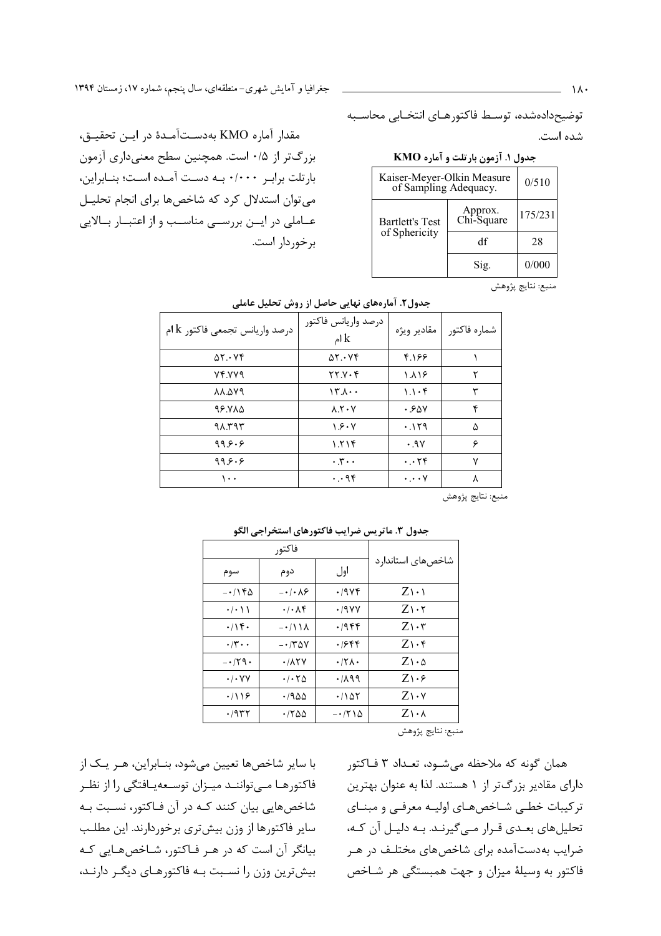جغرافیا و آمایش شهری-منطقهای، سال پنجم، شماره ۱۷، زمستان ۱۳۹۴

توضيحدادهشده، توسـط فاكتورهـاي انتخـابي محاسـبه شده است.

# جدول ١. آزمون بارتلت و آماره KMO

| Kaiser-Meyer-Olkin Measure<br>of Sampling Adequacy. | 0/510                 |         |
|-----------------------------------------------------|-----------------------|---------|
| <b>Bartlett's Test</b><br>of Sphericity             | Approx.<br>Chi-Square | 175/231 |
|                                                     | df                    | 28      |
|                                                     | Sig.                  | 0/000   |

مقدار آماره KMO بهدستآمدهٔ در ایـن تحقیـق، بزرگتر از ۰/۵ است. همچنین سطح معنیداری آزمون بارتلت برابر ۰/۰۰۰ به دست آمده است؛ بنـابراين، می توان استدلال کرد که شاخصها برای انجام تحلیـل عـاملي در ايــن بررســي مناســب و از اعتبــار بــالايي برخوردار است.

منبع: نتايج پژوهش

| درصد واريانس تجمعي فاكتور $\rm{k}$ ام | درصد واريانس فاكتور<br>ام $\mathbf k$     | مقادير ويژه              | شماره فاكتور |
|---------------------------------------|-------------------------------------------|--------------------------|--------------|
| $\Delta Y \cdot Yf$                   | $\Delta Y \cdot Yf$                       | 4.188                    |              |
| VF.VV9                                | YY.Y.F                                    | $\lambda \Lambda$        | ٢            |
| <b>AA.AY9</b>                         | $15.1 \cdot$                              | $1.1 \cdot F$            | ٣            |
| 98.785                                | $\lambda$ . $\mathsf{Y} \cdot \mathsf{Y}$ | ۰.۶۵۷                    | ۴            |
| ۹۸.۳۹۳                                | ۱.۶۰۷                                     | .119                     | ۵            |
| ۹۹۶۰۶                                 | ۱.۲۱۴                                     | .9V                      | ۶            |
| 99.9.9                                | $\cdot$ , $\mathbf{y}$ $\cdot$ $\cdot$    | $\cdot \cdot$ ٢۴         | ٧            |
| ۰۰۱                                   | $\cdot \cdot$ 96                          | $\cdot \cdot \cdot \vee$ | ٨            |

#### جدول٢. آمارههای نهایی حاصل از روش تحلیل عاملی

منبع: نتايج پژوهش

| جنون ۱۰ مانو پس صرایب تا صورهای استخراجی انجو |                                   |                     |                                 |  |  |
|-----------------------------------------------|-----------------------------------|---------------------|---------------------------------|--|--|
| فاكتور                                        |                                   |                     |                                 |  |  |
| سوم                                           | دوم                               | اول                 | شاخصهای استاندارد               |  |  |
| $-\cdot$ /۱۴۵                                 | $-\cdot/\cdot \wedge$             | ۰/۹۷۴               | $Z\rightarrow$                  |  |  |
| $\cdot$ / $\cdot$ \ \                         | $\cdot$ / $\cdot$ / $\star$       | ۰/۹۷۷               | $Z\setminus\cdot$ ٢             |  |  |
| $\cdot$ /۱۴۰                                  | $-\cdot/11\Lambda$                | ۰/۹۴۴               | $Z\mathcal{N}\cdot\mathfrak{r}$ |  |  |
| $\cdot$ /۳ $\cdot$ $\cdot$                    | $- \cdot 700$                     | ۱۶۴۴.               | $Z\setminus\cdot$ ۴             |  |  |
| $-179.$                                       | $\cdot$ / $\wedge$ $\vee$         | $\cdot$ /۲۸ $\cdot$ | $Z\setminus\cdot\Delta$         |  |  |
| $\cdot$ / $\cdot$ YY                          | $\cdot$ / $\cdot$ $\tau$ $\Delta$ | ۰/۸۹۹               | $Z\rightarrow$                  |  |  |
| .719                                          | ۱۹۵۵.                             | ۱۵۲/۰               | $Z\Lambda\cdot\mathsf{Y}$       |  |  |
| ۰/۹۳۲                                         | ۱۲۵۵.                             | $-1710$             | $Z\setminus\cdot\Lambda$        |  |  |
|                                               |                                   |                     |                                 |  |  |

## حدول ٣. واتريس ضراب فاكتورهاي استخراجي الكو

منبع: نتايج پژوهش

با سایر شاخصها تعیین میشود، بنـابراین، هـر یـک از فاکتورهـا مــی تواننــد میــزان توســعهیــافتگی را از نظــر شاخصهایی بیان کنند کـه در آن فـاکتور، نسـبت بـه سایر فاکتورها از وزن بیشتری برخوردارند. این مطلب بیانگر آن است که در هـر فـاکتور، شـاخصهـایی کـه بیش ترین وزن را نسـبت بـه فاکتورهـای دیگـر دارنـد،

همان گونه که ملاحظه میشـود، تعـداد ۳ فـاکتور دارای مقادیر بزرگتر از ۱ هستند. لذا به عنوان بهترین ترکیبات خطبی شـاخصهـای اولیـه معرفـی و مبنـای تحلیلهای بعـدی قـرار مـیگیرنـد. بـه دلیـل آن کـه، ضرایب بهدستآمده برای شاخصهای مختلـف در هـر فاکتور به وسیلهٔ میزان و جهت همبستگی هر شـاخص

 $\lambda \cdot$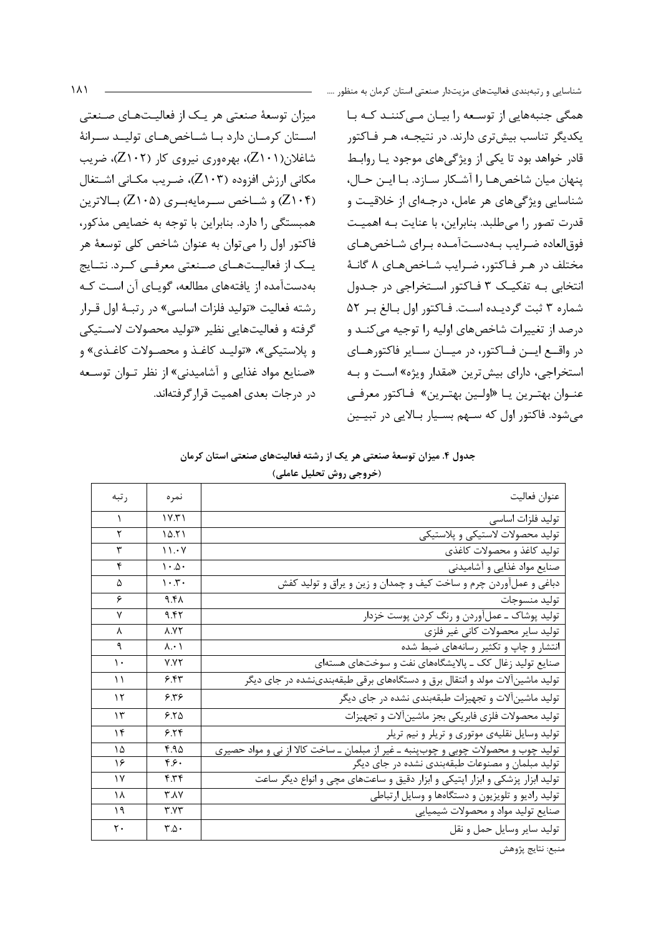میزان توسعهٔ صنعتی هر یـک از فعالیـتهـای صـنعتی استان كرمان دارد با شاخصهاى توليد سرانة شاغلان(Z۱۰۱)، بهرهوری نیروی کار (Z۱۰۲)، ضریب مکانی ارزش افزوده (۲۰۳٪)، ضریب مکـانی اشـتغال (Z۱۰۴) و شــاخص ســرمايهبـري (Z۱۰۵) بــالاترين همبستگی را دارد. بنابراین با توجه به خصایص مذکور، فاکتور اول را میتوان به عنوان شاخص کلی توسعهٔ هر یــک از فعالیــتھــای صــنعتی معرفــی کــرد. نتــایج بهدستآمده از یافتههای مطالعه، گویـای آن اسـت کـه رشته فعالیت «تولید فلزات اساسی» در رتبهٔ اول قـرار گرفته و فعالیتهایی نظیر «تولید محصولات لاسـتیکی و پلاستيکي»، «توليـد کاغـذ و محصـولات کاغـذي» و «صنایع مواد غذایی و آشامیدنی» از نظر تـوان توسـعه در درجات بعدی اهمیت قرار گرفتهاند.

همگی جنبههایی از توسعه را بیـان مـی کننـد کـه بـا یکدیگر تناسب بیشتری دارند. در نتیجـه، هـر فـاکتور قادر خواهد بود تا یکی از ویژگیهای موجود یـا روابـط پنهان ميان شاخصهـا را آشـكار سـازد. بـا ايـن حـال، شناسایی ویژگیهای هر عامل، درجـهای از خلاقیـت و قدرت تصور را می طلبد. بنابراین، با عنایت بـه اهمیـت فوقالعاده ضرايب بـهدسـتآمـده بـراي شـاخصهـاي مختلف در هـر فـاكتور، ضـرايب شـاخصهـاي ٨ گانـهٔ انتخابي بـه تفكيـك ٣ فـاكتور اسـتخراجي در جـدول شماره ٣ ثبت گرديده است. فاكتور اول بالغ بر ٥٢ درصد از تغییرات شاخصهای اولیه را توجیه می کنـد و در واقع ایسن فاکتور، در میان سایر فاکتورهای استخراجي، داراي بيشترين «مقدار ويژه» است و بـه عنـوان بهتـرين يـا «اولـين بهتـرين» فـاكتور معرفـي می شود. فاکتور اول که سـهم بسـيار بـالايي در تبيـين

| جدول ۴. میزان توسعهٔ صنعتی هر یک از رشته فعالیتهای صنعتی استان کرمان |  |  |                         |  |  |
|----------------------------------------------------------------------|--|--|-------------------------|--|--|
|                                                                      |  |  | (خروجي روش تحليل عاملي) |  |  |

| ر تبه         | نمر ہ                        | عنوان فعاليت                                                                      |
|---------------|------------------------------|-----------------------------------------------------------------------------------|
| A.            | 1Y.71                        | توليد فلزات اساسى                                                                 |
| ٢             | 10.51                        | تولید محصولات لاستیکی و پلاستیکی                                                  |
| ٣             | 11.4V                        | تولید کاغذ و محصولات کاغذی                                                        |
| ۴             | $\cdot \Delta \cdot$         | صنایع مواد غذایی و آشامیدنی                                                       |
| ۵             | $\cdot$ . $\mathsf{r}$ .     | دباغی و عملآوردن چرم و ساخت کیف و چمدان و زین و یراق و تولید کفش                  |
| ۶             | ۹.۴۸                         | توليد منسوجات                                                                     |
| ٧             | 9.47                         | تولید پوشاک ــ عمل آوردن و رنگ کردن پوست خزدار                                    |
| λ             | <b>A.YY</b>                  | تولید سایر محصولات کانی غیر فلزی                                                  |
| ٩             | $\lambda \cdot \lambda$      | انتشار و چاپ و تکثیر رسانههای ضبط شده                                             |
| $\mathcal{L}$ | <b>Y.YY</b>                  | صنایع تولید زغال کک ــ پالایشگاههای نفت و سوختهای هستهای                          |
| ۱۱            | ۶.۴۳                         | تولید ماشینآلات مولد و انتقال برق و دستگاههای برقی طبقهبندینشده در جای دیگر       |
| ۱۲            | ۶۳۶                          | تولید ماشینآلات و تجهیزات طبقهبندی نشده در جای دیگر                               |
| ۱۳            | 5.50                         | تولید محصولات فلزی فابریکی بجز ماشینآلات و تجهیزات                                |
| ۱۴            | 5.78                         | تولید وسایل نقلیهی موتوری و تریلر و نیم تریلر                                     |
| ١۵            | ۴.۹۵                         | تولید چوب و محصولات چوبی و چوبپنبه ـ غیر از مبلمان ـ ساخت کالا از نی و مواد حصیری |
| ۱۶            | ۶۶۰                          | تولید مبلمان و مصنوعات طبقهبندی نشده در جای دیگر                                  |
| ۱۷            | ۴.۳۴                         | تولید ابزار پزشکی و ابزار اپتیکی و ابزار دقیق و ساعتهای مچی و انواع دیگر ساعت     |
| ١٨            | ۳.۸۷                         | تولید رادیو و تلویزیون و دستگاهها و وسایل ارتباطی                                 |
| ۱۹            | ۳.V۳                         | صنایع تولید مواد و محصولات شیمیایی                                                |
| ٢٠            | $\mathbf{r}.\mathbf{\Delta}$ | توليد ساير وسايل حمل و نقل                                                        |

منبع: نتايج پژوهش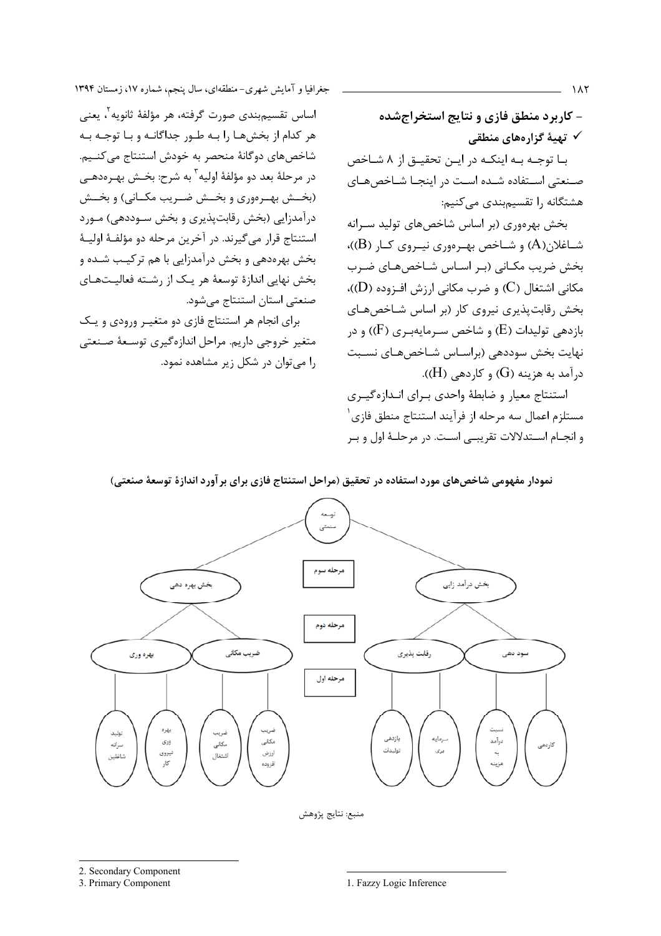جغرافیا و آمایش شهری-منطقهای، سال پنجم، شماره ۱۷، زمستان ۱۳۹۴

اساس تقسیم؛بندی صورت گرفته، هر مؤلفهٔ ثانویه ْ، یعنی هر کدام از بخشها را به طور جداگانـه و بـا توجـه بـه شاخصهای دوگانهٔ منحصر به خودش استنتاج می کنـیم. در مرحلهٔ بعد دو مؤلفهٔ اولیه<sup>۳</sup> به شرح: بخـش بهـرەدهــی (بخــش بهــرهوري و بخــش ضــريب مكــاني) و بخــش درآمدزایی (بخش رقابتپذیری و بخش سـوددهی) مـورد استنتاج قرار مي گيرند. در آخرين مرحله دو مؤلفـهٔ اوليـهٔ بخش بهرهدهی و بخش درآمدزایی با هم ترکیب شـده و بخش نهایی اندازهٔ توسعهٔ هر یک از رشته فعالیتهای صنعتی استان استنتاج می شود.

برای انجام هر استنتاج فازی دو متغیر ورودی و یک متغير خروجي داريم. مراحل اندازهگيري توسـعهٔ صـنعتي را مے توان در شکل زیر مشاهده نمود.

- کاربرد منطق فازی و نتایج استخراجشده √ تهیهٔ گزارههای منطقی بـا توجـه بـه اينكـه در ايـن تحقيـق از ٨ شـاخص صنعتی استفاده شده است در اینجـا شـاخص هـای هشتگانه ,ا تقسیمبندی می کنیم:

بخش بهرهوری (بر اساس شاخصهای تولید سـرانه شــاغلان(A) و شــاخص بهـرهوري نيــروي كــار (B))، بخش ضریب مکـانی (بـر اسـاس شـاخصهـای ضـرب مکانی اشتغال (C) و ضرب مکانی ارزش افـزوده (D))، بخش رقابت پذیری نیروی کار (بر اساس شـاخصهـای بازدهی تولیدات (E) و شاخص سـرمایهبـری (F)) و در نهایت بخش سوددهی (براسـاس شـاخصهـای نسـبت  $(H)$  درآمد به هزینه (G) و کاردهی (H)).

استنتاج معيار و ضابطهٔ واحدی بـرای انـدازهگيـری مستلزم اعمال سه مرحله از فرآیند استنتاج منطق فازی ٔ و انجـام اسـتدلالات تقريبـي اسـت. در مرحلـهٔ اول و بـر

نمودار مفهومی شاخصهای مورد استفاده در تحقیق (مراحل استنتاج فازی برای بر آورد اندازهٔ توسعهٔ صنعتی)



منبع: نتايج پژوهش

 $\lambda\lambda\tau$ 

<sup>2.</sup> Secondary Component

<sup>3.</sup> Primary Component

<sup>1.</sup> Fazzy Logic Inference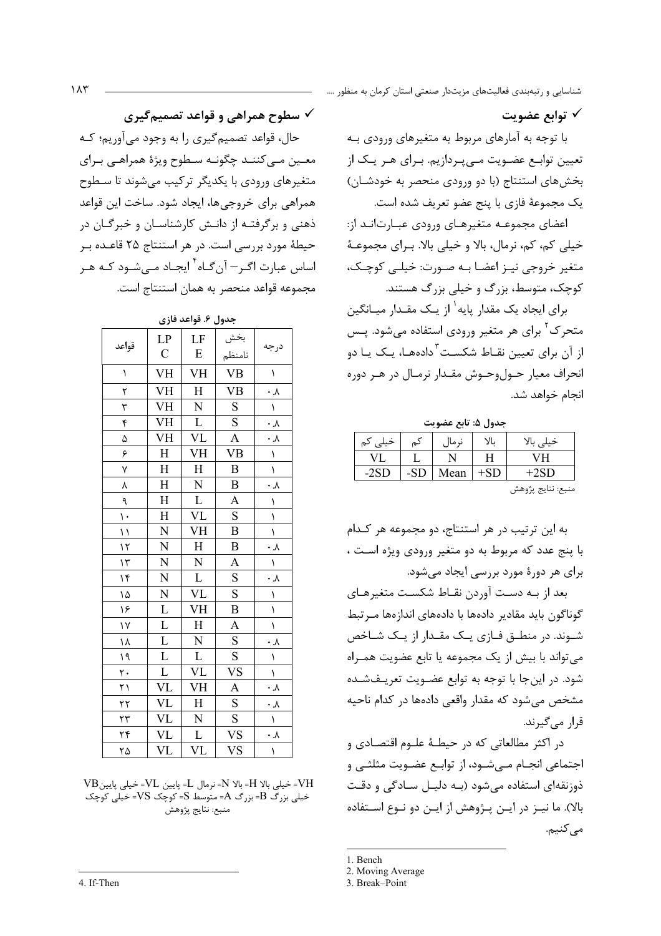## √ توابع عضويت

با توجه به آمارهای مربوط به متغیرهای ورودی بـه تعیین توابـع عضـویت مـیپـردازیم. بـرای هـر یـک از بخش های استنتاج (با دو ورودی منحصر به خودشـان) يک مجموعهٔ فازی با پنج عضو تعريف شده است.

اعضای مجموعـه متغیرهـای ورودی عبـارت|نـد از: خیلی کم، کم، نرمال، بالا و خیلی بالا. بـرای مجموعـهٔ متغیر خروجی نیـز اعضـا بـه صـورت: خیلـی کوچـک، کوچک، متوسط، بزرگ و خیلی بزرگ هستند.

برای ایجاد یک مقدار پایه<sup>۱</sup> از یـک مقـدار میـانگین متحرک <sup>۲</sup> برای هر متغیر ورودی استفاده میشود. پـس از آن برای تعیین نقـاط شکسـت<sup>۳</sup>دادههـا، یـک یـا دو انحراف معيار حـولوحـوش مقـدار نرمـال در هـر دوره انجام خواهد شد.

جدول ۵: تابع عضويت

| خیلی<br>كم | كم  | نہ ما] | بالا  | ין<br>خيلى        |
|------------|-----|--------|-------|-------------------|
|            |     |        |       | vн                |
|            | -SD | Mean   | $+SD$ | -2SD              |
|            |     |        |       | منبع: نتايج پژوهش |

به این ترتیب در هر استنتاج، دو مجموعه هر کـدام با پنج عدد که مربوط به دو متغیر ورودی ویژه است ، برای هر دورهٔ مورد بررسی ایجاد میشود.

بعد از بـه دسـت آوردن نقـاط شکسـت متغیرهـای گوناگون باید مقادیر دادهها با دادههای اندازهها مـر تبط شـوند. در منطــق فــازی یــک مقــدار از یــک شــاخص می تواند با بیش از یک مجموعه یا تابع عضویت همـراه شود. در این جا با توجه به توابع عضـویت تعریـفشـده مشخص می شود که مقدار واقعی دادهها در کدام ناحیه قرار مے گیرند.

در اکثر مطالعاتی که در حیطـهٔ علـوم اقتصـادی و اجتماعي انجـام مـي شــود، از توابــع عضــويت مثلثــي و ذو;نقهای استفاده می شود (بـه دلیـل سـادگی و دقـت بالا). ما نیـز در ایـن پـژوهش از ایـن دو نـوع اسـتفاده مے کنیم.

3. Break-Point

حال، قواعد تصمیم گیری را به وجود می آوریم؛ کـه معین مے کننـد چگونـه سـطوح ویژهٔ همراهـی بـرای متغیرهای ورودی با یکدیگر ترکیب میشوند تا سـطوح همراهي براي خروجي ها، ايجاد شود. ساخت اين قواعد ذهنی و برگرفتـه از دانـش کارشناسـان و خبرگـان در حیطهٔ مورد بررسی است. در هر استنتاج ۲۵ قاعـده بـر اساس عبارت اگـر— آن گـاه<sup>۲</sup> ایجـاد مـے شـود کـه هـر مجموعه قواعد منحصر به همان استنتاج است.

جدول ۶. قواعد فازی

| قواعد                   | $\frac{LP}{C}$                                                                                                                                                                                                                                                                                                                                                                                                                                                                                                         | LF                                                                                                                                                                                                                                 | بخش<br>نامنظم<br>VB<br>S                             | درجه                                                                                   |
|-------------------------|------------------------------------------------------------------------------------------------------------------------------------------------------------------------------------------------------------------------------------------------------------------------------------------------------------------------------------------------------------------------------------------------------------------------------------------------------------------------------------------------------------------------|------------------------------------------------------------------------------------------------------------------------------------------------------------------------------------------------------------------------------------|------------------------------------------------------|----------------------------------------------------------------------------------------|
| $\setminus$             | $\begin{tabular}{c c} \hline \textbf{VH} & \textbf{VH} \\ \hline \textbf{VH} & \textbf{VH} \\ \hline \textbf{VH} & \textbf{H} \\ \hline \textbf{H} & \textbf{H} \\ \hline \textbf{H} & \textbf{H} \\ \hline \textbf{H} & \textbf{H} \\ \hline \textbf{N} & \textbf{N} \\ \hline \end{tabular}$                                                                                                                                                                                                                         | $rac{E}{VH}$                                                                                                                                                                                                                       |                                                      | $\lambda$                                                                              |
|                         |                                                                                                                                                                                                                                                                                                                                                                                                                                                                                                                        | $\frac{1}{\overline{H}}$                                                                                                                                                                                                           |                                                      | $\cdot \lambda$                                                                        |
| $rac{1}{r}$             |                                                                                                                                                                                                                                                                                                                                                                                                                                                                                                                        |                                                                                                                                                                                                                                    |                                                      |                                                                                        |
| $\overline{\mathbf{r}}$ |                                                                                                                                                                                                                                                                                                                                                                                                                                                                                                                        | $\frac{\text{N}}{\text{V}} \frac{\text{L}}{\text{V}} \frac{\text{V}}{\text{V}} \frac{\text{V}}{\text{V}}$                                                                                                                          | S                                                    | $\frac{1}{\cdot \frac{1}{\cdot \lambda}}$<br>$\frac{1}{\cdot \frac{1}{\cdot \lambda}}$ |
| $\Delta$                |                                                                                                                                                                                                                                                                                                                                                                                                                                                                                                                        |                                                                                                                                                                                                                                    | $\overline{A}$                                       |                                                                                        |
|                         |                                                                                                                                                                                                                                                                                                                                                                                                                                                                                                                        |                                                                                                                                                                                                                                    | $\frac{VB}{B}$                                       |                                                                                        |
| $rac{6}{x}$             |                                                                                                                                                                                                                                                                                                                                                                                                                                                                                                                        |                                                                                                                                                                                                                                    |                                                      |                                                                                        |
| $\lambda$               |                                                                                                                                                                                                                                                                                                                                                                                                                                                                                                                        |                                                                                                                                                                                                                                    | $\frac{B}{A}$                                        |                                                                                        |
| ٩                       |                                                                                                                                                                                                                                                                                                                                                                                                                                                                                                                        |                                                                                                                                                                                                                                    |                                                      | $\overline{1}$                                                                         |
| $\mathbf{R}$            |                                                                                                                                                                                                                                                                                                                                                                                                                                                                                                                        |                                                                                                                                                                                                                                    | $\overline{\text{S}}$                                | $\frac{1}{1}$                                                                          |
| $\overline{1}$          |                                                                                                                                                                                                                                                                                                                                                                                                                                                                                                                        |                                                                                                                                                                                                                                    |                                                      |                                                                                        |
| $\frac{1}{\sqrt{2}}$    |                                                                                                                                                                                                                                                                                                                                                                                                                                                                                                                        | $\begin{array}{c} \underline{L} \\ \underline{V}\underline{L} \\ \underline{V}\underline{H} \\ \underline{H} \\ \underline{N} \\ \underline{L} \end{array}$                                                                        | $\frac{B}{B}$                                        | $\frac{1}{\cdot \cdot \cdot}$                                                          |
| $\mathcal{L}$           |                                                                                                                                                                                                                                                                                                                                                                                                                                                                                                                        |                                                                                                                                                                                                                                    |                                                      |                                                                                        |
| $\mathcal{M}$           |                                                                                                                                                                                                                                                                                                                                                                                                                                                                                                                        |                                                                                                                                                                                                                                    | S                                                    | $\frac{1}{1}$                                                                          |
| $\Delta$                |                                                                                                                                                                                                                                                                                                                                                                                                                                                                                                                        | $\frac{\overline{VL}}{\overline{L}}$                                                                                                                                                                                               | S                                                    |                                                                                        |
| ۱۶                      |                                                                                                                                                                                                                                                                                                                                                                                                                                                                                                                        |                                                                                                                                                                                                                                    | $\overline{B}$                                       |                                                                                        |
| $\overline{Y}$          |                                                                                                                                                                                                                                                                                                                                                                                                                                                                                                                        |                                                                                                                                                                                                                                    | $\overline{A}$                                       | $\overline{\ }$                                                                        |
| ۱۸                      |                                                                                                                                                                                                                                                                                                                                                                                                                                                                                                                        |                                                                                                                                                                                                                                    | $\overline{\mathbf{S}}$                              | $\overline{\cdot \cdot}$                                                               |
| $\mathcal{A}$           |                                                                                                                                                                                                                                                                                                                                                                                                                                                                                                                        |                                                                                                                                                                                                                                    | $rac{S}{VS}$                                         | $\boldsymbol{\lambda}$                                                                 |
| $\frac{1}{\sqrt{1}}$    |                                                                                                                                                                                                                                                                                                                                                                                                                                                                                                                        |                                                                                                                                                                                                                                    |                                                      | $\overline{1}$                                                                         |
|                         | $\begin{array}{c c} \hline N & N \\ \hline L & L \\ \hline L & L \\ \hline V & W \\ \hline V & W \\ \hline V & W \\ \hline V & W \\ \hline V & W \\ \hline V & W \\ \hline V & W \\ \hline V & W \\ \hline V & W \\ \hline V & W \\ \hline V & W \\ \hline V & W \\ \hline V & W \\ \hline V & W \\ \hline V & W \\ \hline V & W \\ \hline V & W \\ \hline V & W \\ \hline V & W \\ \hline V & W \\ \hline V & W \\ \hline V & W \\ \hline V & W \\ \hline V & W \\ \hline V & W \\ \hline V & W \\ \hline V & W \\ \$ | $\begin{array}{c} \begin{array}{c} \rm VH \\ \rm H \\ \rm N \\ \rm L \\ \end{array} \\ \begin{array}{c} \rm H \\ \rm M \\ \rm H \\ \rm N \\ \end{array} \\ \begin{array}{c} \rm H \\ \rm N \\ \rm L \\ \end{array} \\ \end{array}$ | $\mathbf{A}$                                         | $\frac{\lambda}{\lambda}$                                                              |
|                         |                                                                                                                                                                                                                                                                                                                                                                                                                                                                                                                        |                                                                                                                                                                                                                                    |                                                      |                                                                                        |
|                         |                                                                                                                                                                                                                                                                                                                                                                                                                                                                                                                        |                                                                                                                                                                                                                                    |                                                      |                                                                                        |
| $\frac{11}{11}$         |                                                                                                                                                                                                                                                                                                                                                                                                                                                                                                                        |                                                                                                                                                                                                                                    | $\frac{1}{\text{S}}$<br>$\frac{\text{S}}{\text{VS}}$ | $\cdot \lambda$                                                                        |
| $\overline{\mathbf{r}}$ |                                                                                                                                                                                                                                                                                                                                                                                                                                                                                                                        | $\overline{\text{VL}}$                                                                                                                                                                                                             | $\overline{\text{VS}}$                               | $\boldsymbol{\lambda}$                                                                 |

 $VB$  = خیلی بالا H= بالا N= نرمال  $-L = U$ = خیلی پایین $HH = V$ H خیلی بزرگ B=بزرگ A=متوسط S= کوچک VS= خیلی کوچک منبع: نتايج پژوهش

 $\lambda \uparrow$ 

<sup>1.</sup> Bench

<sup>2.</sup> Moving Average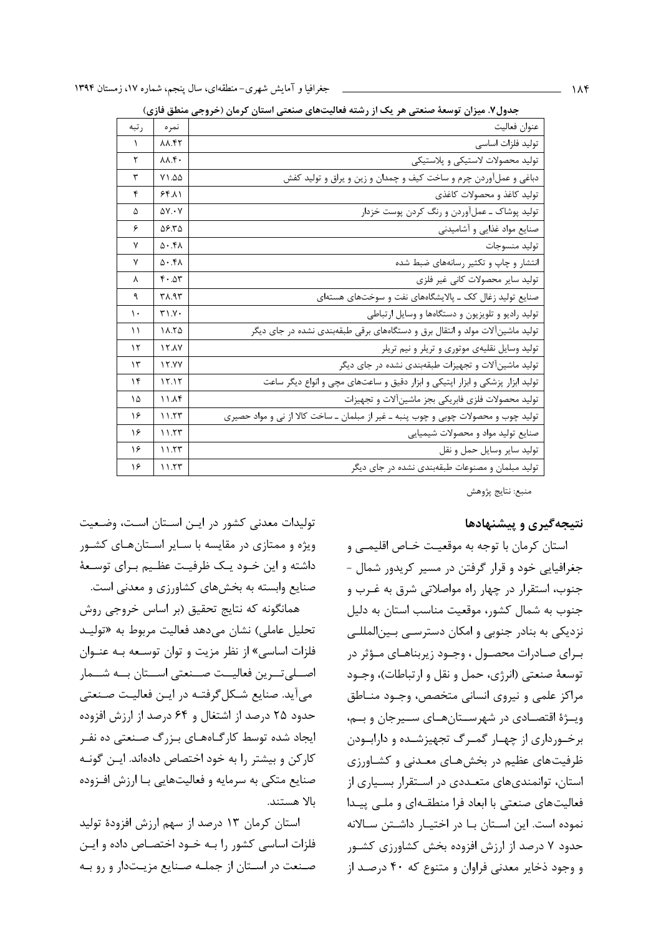| ، ب           | ັ                            | رر . ت<br>$\sim$ $\sim$ $\sim$<br>پ<br>$\overline{\phantom{a}}$<br>ى ب             |
|---------------|------------------------------|------------------------------------------------------------------------------------|
| رتبه          | نمر ہ                        | عنوان فعاليت                                                                       |
| $\lambda$     | <b>AA.FT</b>                 | توليد فلزات اساسى                                                                  |
| ۲             | $\lambda \lambda .$ ۴.       | تولید محصولات لاستیکی و پلاستیکی                                                   |
| ٣             | Y1.00                        | دباغی و عملآوردن چرم و ساخت کیف و چمدان و زین و یراق و تولید کفش                   |
| ۴             | 55.11                        | توليد كاغذ و محصولات كاغذى                                                         |
| ۵             | $\Delta V \cdot V$           | تولید پوشاک ـ عملآوردن و رنگ کردن پوست خزدار                                       |
| ۶             | 58.55                        | صنایع مواد غذایی و آشامیدنی                                                        |
| ٧             | $\Delta$ . ۴۸                | توليد منسوجات                                                                      |
| ٧             |                              | انتشار و چاپ و تکثیر رسانههای ضبط شده                                              |
| λ             | $f \cdot \Delta r$           | تولید سایر محصولات کانی غیر فلزی                                                   |
| ٩             | $T\Lambda.95$                | صنایع تولید زغال کک ــ پالایشگاههای نفت و سوختهای هستهای                           |
| $\mathcal{L}$ | $Y \setminus Y$              | تولید رادیو و تلویزیون و دستگاهها و وسایل ارتباطی                                  |
| ۱۱            | $\Lambda$ . $\tau$ $\Lambda$ | تولید ماشینآلات مولد و انتقال برق و دستگاههای برقی طبقهبندی نشده در جای دیگر       |
| ۱۲            | <b>IT.AV</b>                 | تولید وسایل نقلیهی موتوری و تریلر و نیم تریلر                                      |
| ۱۳            | 15.9Y                        | تولید ماشینآلات و تجهیزات طبقهبندی نشده در جای دیگر                                |
| ۱۴            | 15.15                        | تولید ابزار پزشکی و ابزار اپتیکی و ابزار دقیق و ساعتهای مچی و انواع دیگر ساعت      |
| ۱۵            | ۱۱.۸۴                        | تولید محصولات فلزی فابریکی بجز ماشینآلات و تجهیزات                                 |
| ۱۶            | 11.57                        | تولید چوب و محصولات چوبی و چوب پنبه ـ غیر از مبلمان ـ ساخت کالا از نی و مواد حصیری |
| ۱۶            | 11.57                        | صنایع تولید مواد و محصولات شیمیایی                                                 |
| ۱۶            | 11.57                        | توليد ساير وسايل حمل و نقل                                                         |
| ۱۶            | 11.57                        | تولید مبلمان و مصنوعات طبقهبندی نشده در جای دیگر                                   |

حدول۷. میزان توسعهٔ صنعتب هر یک از رشته فعالیتهای صنعتب استان کرمان (خروجی منطق فازی)

منبع: نتايج پژوهش

#### نتیجهگیری و پیشنهادها

استان کرمان با توجه به موقعیت خـاص اقلیمــی و جغرافیایی خود و قرار گرفتن در مسیر کریدور شمال -جنوب، استقرار در چهار راه مواصلاتی شرق به غـرب و جنوب به شمال کشور، موقعیت مناسب استان به دلیل نزدیکی به بنادر جنوبی و امکان دسترسـی بـین|لمللـی بـرای صـادرات محصـول ، وجـود زیربناهـای مـؤثر در توسعهٔ صنعتی (انرژی، حمل و نقل و ارتباطات)، وجـود مراكز علمي و نيروى انساني متخصص، وجـود منـاطق ويــژهٔ اقتصــادي در شهرســتانهــاي ســيرجان و بــم، برخورداری از چهـار گمـرگ تجهیزشـده و دارابـودن ظرفیتهای عظیم در بخشهای معـدنی و کشـاورزی استان، توانمندیهای متعـددی در اسـتقرار بسـياری از فعالیتهای صنعتی با ابعاد فرا منطقهای و ملـی پیـدا نموده است. این استان با در اختیار داشتن سالانه حدود ۷ درصد از ارزش افزوده بخش کشاورزی کشـور و وجود ذخاير معدني فراوان و متنوع كه ۴۰ درصد از

تولیدات معدنی کشور در ایـن اسـتان اسـت، وضـعیت ویژه و ممتازی در مقایسه با سـایر اسـتانهـای کشـور داشته و این خـود یـک ظرفیـت عظـیم بـرای توسـعهٔ صنایع وابسته به بخشهای کشاورزی و معدنی است.

همانگونه که نتایج تحقیق (بر اساس خروجی روش تحليل عاملي) نشان مي دهد فعاليت مربوط به «توليـد فلزات اساسی» از نظر مزیت و توان توسـعه بـه عنـوان اصطلى تورين فعاليــت صــنعتى اســتان بــه شــمار می آید. صنایع شـکل گرفتـه در ایـن فعالیـت صـنعتی حدود ۲۵ درصد از اشتغال و ۶۴ درصد از ارزش افزوده ایجاد شده توسط کارگـاههـای بـزرگ صـنعتی ده نفـر كاركن و بيشتر را به خود اختصاص دادهاند. ايـن گونـه صنایع متکی به سرمایه و فعالیتهایی بـا ارزش افـزوده ىالا ھستند.

استان کرمان ۱۳ درصد از سهم ارزش افزودهٔ تولید فلزات اساسی کشور را بـه خـود اختصـاص داده و ایـن صنعت در استان از جملـه صـنايع مزيـتدار و رو بـه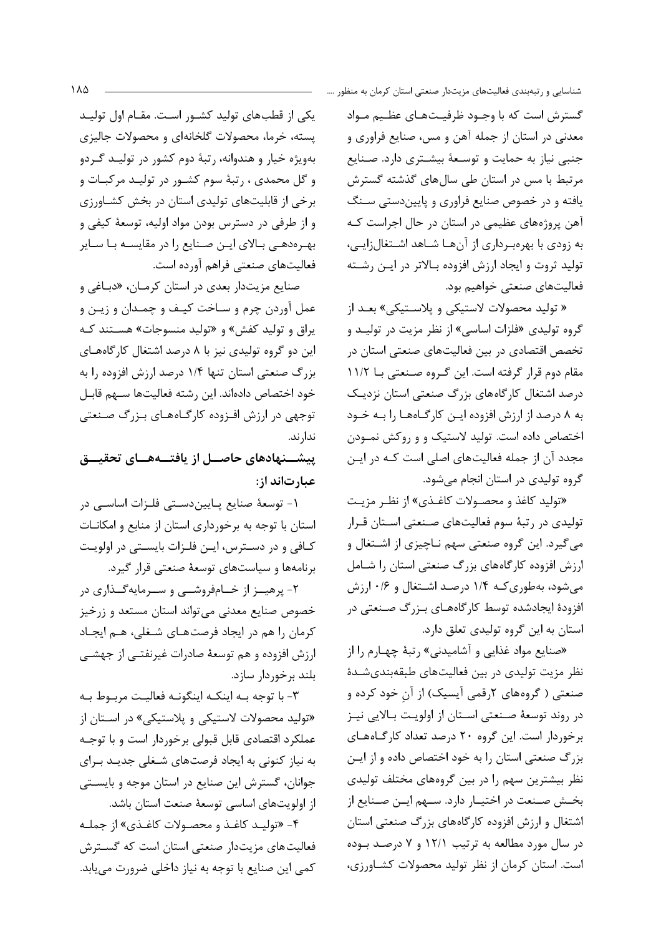گسترش است که با وجـود ظرفیـتهـای عظـیم مـواد معدنی در استان از جمله آهن و مس، صنایع فراوری و جنبی نیاز به حمایت و توسعهٔ بیشتری دارد. صنایع مرتبط با مس در استان طی سالهای گذشته گسترش یافته و در خصوص صنایع فراوری و پایین دستی سنگ آهن پروژههای عظیمی در استان در حال اجراست کـه به زودی با بهرهبرداری از آنها شاهد اشتغالزایی، تولید ثروت و ایجاد ارزش افزوده بـالاتر در ایـن رشـته فعالیتهای صنعتی خواهیم بود.

« تولید محصولات لاستیکی و پلاسـتیکی» بعـد از گروه تولیدی «فلزات اساسی» از نظر مزیت در تولیـد و تخصص اقتصادی در بین فعالیتهای صنعتی استان در مقام دوم قرار گرفته است. این گروه صنعتی بـا ۱۱/۲ درصد اشتغال كارگاههاى بزرگ صنعتى استان نزديك به ٨ درصد از ارزش افزوده اين كارگاهها را به خود اختصاص داده است. تولید لاستیک و و روکش نمـودن مجدد آن از جمله فعالیتهای اصلی است کـه در ایـن گروه تولیدی در استان انجام می شود.

«تولید کاغذ و محصـولات کاغـذی» از نظـر مزیـت تولیدی در رتبهٔ سوم فعالیتهای صنعتی استان قـرار می گیرد. این گروه صنعتی سهم نـاچیزی از اشـتغال و ارزش افزوده كارگاههاي بزرگ صنعتي استان را شامل می شود، بهطوری کـه ۱/۴ درصـد اشـتغال و ۰/۶ ارزش افزودهٔ ایجادشده توسط کارگاههـای بـزرگ صـنعتی در استان به این گروه تولیدی تعلق دارد.

«صنایع مواد غذایی و آشامیدنی» رتبهٔ چهـارم را از نظر مزیت تولیدی در بین فعالیتهای طبقهبندیشدهٔ صنعتی ( گروههای ۲رقمی آیسیک) از آن خود کرده و در روند توسعهٔ صنعتی اسـتان از اولویـت بـالایی نیـز برخوردار است. این گروه ۲۰ درصد تعداد کارگاههای بزرگ صنعتی استان را به خود اختصاص داده و از ایـن نظر بیشترین سهم را در بین گروههای مختلف تولیدی بخش صنعت در اختيـار دارد. سـهم ايـن صـنايع از اشتغال و ارزش افزوده کارگاههای بزرگ صنعتی استان در سال مورد مطالعه به ترتیب ۱۲/۱ و ۷ درصد بوده است. استان کرمان از نظر تولید محصولات کشاورزی،

یکی از قطبهای تولید کشـور اسـت. مقـام اول تولیـد پسته، خرما، محصولات گلخانهای و محصولات جالیزی بهویژه خیار و هندوانه، رتبهٔ دوم کشور در تولیـد گـردو و گل محمدی ، رتبهٔ سوم کشـور در تولیـد مرکبـات و برخی از قابلیتهای تولیدی استان در بخش کشـاورزی و از طرفی در دسترس بودن مواد اولیه، توسعهٔ کیفی و بهـرهدهـي بـالاي ايـن صـنايع را در مقايسـه بـا سـاير فعاليتهاي صنعتي فراهم آورده است.

صنايع مزيتدار بعدي در استان كرمـان، «دبـاغي و عمل آوردن چرم و سـاخت كيـف و چمـدان و زيـن و یراق و تولید کفش» و «تولید منسوجات» هستند کـه این دو گروه تولیدی نیز با ۸ درصد اشتغال کارگاههای بزرگ صنعتی استان تنها ۱/۴ درصد ارزش افزوده را به خود اختصاص دادهاند. این رشته فعالیتها سـهم قابـل توجهی در ارزش افزوده کارگـاههـای بـزرگ صـنعتی ندا, ند.

ییشــنهادهای حاصــل از یافتـــههــای تحقیـــق عبارتاند از:

١- توسعهٔ صنایع پـاییندسـتی فلـزات اساسـی در استان با توجه به برخورداری استان از منابع و امکانـات كــافي و در دســترس، ايــن فلــزات بايســتي در اولويـت برنامهها و سیاستهای توسعهٔ صنعتی قرار گیرد.

۲- پرهیــز از خــامفروشــی و ســرمایهگــذاری در خصوص صنایع معدنی میتواند استان مستعد و زرخیز كرمان را هم در ايجاد فرصتهاى شغلى، هـم ايجـاد ارزش افزوده و هم توسعهٔ صادرات غیرنفتـی از جهشـی بلند برخوردار سازد.

٣- با توجه بـه اينكـه اينگونـه فعاليـت مربـوط بـه «تولید محصولات لاستیکی و پلاستیکی» در اسـتان از عملکرد اقتصادی قابل قبولی برخوردار است و با توجـه به نیاز کنونی به ایجاد فرصتهای شـغلی جدیـد بـرای جوانان، گسترش این صنایع در استان موجه و بایستی از اولویتهای اساسی توسعهٔ صنعت استان باشد.

۴- «توليـد كاغـذ و محصـولات كاغـذى» از جملـه فعالیتهای مزیتدار صنعتی استان است که گســترش كمي اين صنايع با توجه به نياز داخلي ضرورت مي يابد.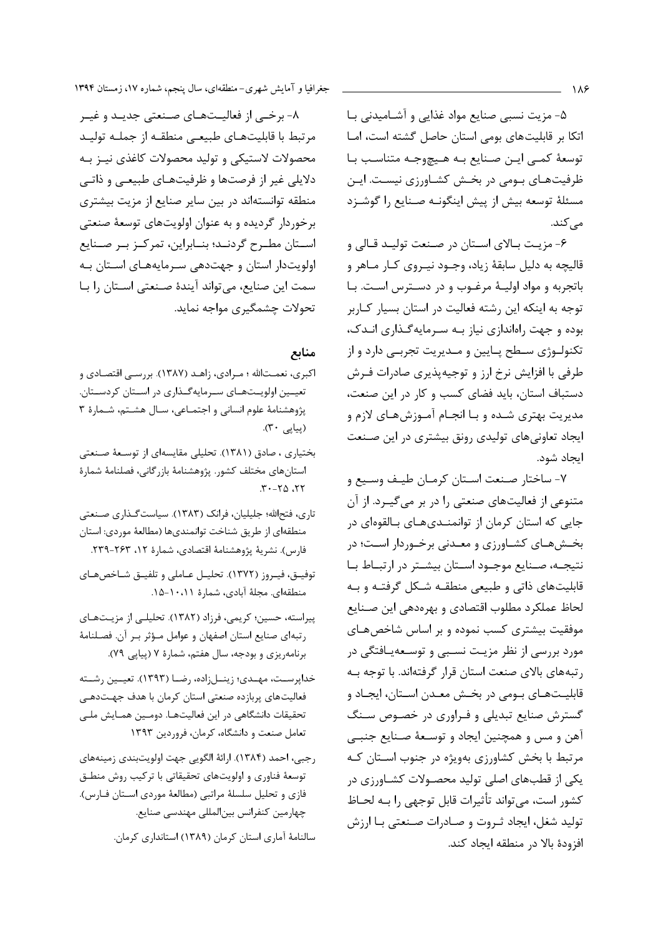۵- مزیت نسبی صنایع مواد غذایی و آشـامیدنی بـا اتکا بر قابلیتهای بومی استان حاصل گشته است، امـا توسعة كمي اين صنايع به هيچوجه متناسب با ظرفیتهای بومی در بخش کشاورزی نیست. ایـن مسئلهٔ توسعه بیش از پیش اینگونـه صـنایع را گوشـزد مے کند.

۶- مزيـت بـالاي اسـتان در صـنعت توليـد قـالي و قالیچه به دلیل سابقهٔ زیاد، وجـود نیـروی کـار مـاهر و باتجربه و مواد اوليـهٔ مرغـوب و در دسـترس اسـت. بـا توجه به اینکه این رشته فعالیت در استان بسیار کاربر بوده و جهت راهاندازی نیاز بـه سـرمایهگـذاری انـدک، تکنولـوژي سـطح پـايين و مـديريت تجربـي دارد و از طرفي با افزايش نرخ ارز و توجيهپذيري صادرات فـرش دستباف استان، باید فضای کسب و کار در این صنعت، مدیریت بهتری شـده و بـا انجـام آمـوزشهـای لازم و ایجاد تعاونیهای تولیدی رونق بیشتری در این صنعت ايجاد شود.

٧- ساختار صـنعت اسـتان كرمـان طيـف وسـيع و متنوعی از فعالیتهای صنعتی را در بر می گیـرد. از آن جایی که استان کرمان از توانمنـدیهـای بـالقوهای در بخـشهـای کشـاورزی و معـدنی برخـوردار اسـت؛ در نتيجـه، صـنايع موجـود اسـتان بيشـتر در ارتبـاط بـا قابلیتهای ذاتی و طبیعی منطقـه شـكل گرفتـه و بـه لحاظ عملكرد مطلوب اقتصادي و بهرهدهي اين صـنايع موفقیت بیشتری کسب نموده و بر اساس شاخصهای مورد بررسی از نظر مزیـت نسـبی و توسـعهیـافتگی در رتبههای بالای صنعت استان قرار گرفتهاند. با توجه بـه قابليـتهـاي بـومي در بخـش معـدن اسـتان، ايجـاد و گسترش صنایع تبدیلی و فـراوری در خصـوص سـنگ آهن و مس و همچنین ایجاد و توسـعهٔ صـنایع جنبـی مرتبط با بخش کشاورزی بهویژه در جنوب استان کـه یکی از قطبهای اصلی تولید محصـولات کشـاورزی در كشور است، مى تواند تأثيرات قابل توجهي را بـه لحـاظ توليد شغل، ايجاد ثـروت و صـادرات صـنعتي بـا ارزش افزودهٔ بالا در منطقه ایجاد کند.

٨- برخـي از فعاليـتهـاي صـنعتي جديـد و غيـر مرتبط با قابلیتهای طبیعی منطقه از جملـه تولیـد محصولات لاستيكي و توليد محصولات كاغذى نيـز بـه دلایلی غیر از فرصتها و ظرفیتهای طبیعی و ذاتبی منطقه توانستهاند در بین سایر صنایع از مزیت بیشتری برخوردار گردیده و به عنوان اولویتهای توسعهٔ صنعتی استان مطـرح گردنـد؛ بنـابراين، تمركـز بـر صـنايع اولویتدار استان و جهتدهی سرمایههای استان به سمت این صنایع، می تواند آیندهٔ صنعتی استان را با تحولات چشمگیری مواجه نماید.

### منابع

- اکبری، نعمـتالله ؛ مـرادی، زاهـد (۱۳۸۷). بررسـي اقتصـادي و تعیسین اولویستههای سرمایهگهذاری در اسستان کردسستان. پژوهشنامهٔ علوم انسانی و اجتمـاعی، سـال هشـتم، شـمارهٔ ۳ (پياپى ٣٠).
- بختیاری ، صادق (١٣٨١). تحلیلی مقایسهای از توسعهٔ صنعتی استانهای مختلف کشور. پژوهشنامهٔ بازرگانی، فصلنامهٔ شمارهٔ  $T - Y_0$
- تاری، فتحالله؛ جلیلیان، فرانک (۱۳۸۳). سیاست گـذاری صـنعتی منطقهاي از طريق شناخت توانمنديها (مطالعهٔ موردي: استان فارس). نشرية پژوهشنامة اقتصادي، شمارة ١٢، ٢۶٣-٢٣٩.
- توفيــق، فيـروز (١٣٧٢). تحليـل عــاملي وتلفيــق شــاخصهـاي منطقهای. مجلهٔ آبادی، شمارهٔ ۱۰،۱۱–۱۵.
- پیراسته، حسین؛ کریمی، فرزاد (۱۳۸۲). تحلیلی از مزیتهای رتبهای صنایع استان اصفهان و عوامل مؤثر بر آن. فصلنامهٔ برنامهریزی و بودجه، سال هفتم، شمارهٔ ۷ (پیاپی ۷۹).
- خداپرسـت، مهـدي؛ زينــلزاده، رضــا (١٣٩٣). تعيــين رشــته فعالیتهای پربازده صنعتی استان کرمان با هدف جهتدهی تحقیقات دانشگاهی در این فعالیتهـا. دومـین همـایش ملـی تعامل صنعت و دانشگاه، كرمان، فروردين ١٣٩٣
- رجبي، احمد (١٣٨۴). ارائهٔ الگويي جهت اولويتبندي زمينههاي توسعهٔ فناوری و اولویتهای تحقیقاتی با ترکیب روش منطـق فازي و تحليل سلسلة مراتبي (مطالعة موردي استان فارس). چهارمین کنفرانس بینالمللی مهندسی صنایع.

سالنامهٔ آماری استان کرمان (۱۳۸۹) استانداری کرمان.